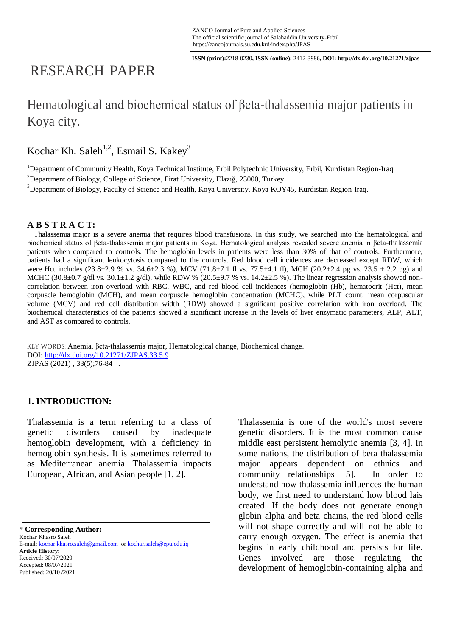**ISSN (print):**2218-0230**, ISSN (online):** 2412-3986**, DOI: http://dx.doi.org/10.21271/zjpas**

# RESEARCH PAPER

## Hematological and biochemical status of βeta-thalassemia major patients in Koya city.

Kochar Kh. Saleh<sup>1,2</sup>, Esmail S. Kakey<sup>3</sup>

<sup>1</sup>Department of Community Health, Koya Technical Institute, Erbil Polytechnic University, Erbil, Kurdistan Region-Iraq <sup>2</sup>Department of Biology, College of Science, Firat University, Elazığ, 23000, Turkey <sup>3</sup>Department of Biology, Faculty of Science and Health, Koya University, Koya KOY45, Kurdistan Region-Iraq.

### **A B S T R A C T:**

Thalassemia major is a severe anemia that requires blood transfusions. In this study, we searched into the hematological and biochemical status of βeta-thalassemia major patients in Koya. Hematological analysis revealed severe anemia in βeta-thalassemia patients when compared to controls. The hemoglobin levels in patients were less than 30% of that of controls. Furthermore, patients had a significant leukocytosis compared to the controls. Red blood cell incidences are decreased except RDW, which were Hct includes (23.8±2.9 % vs. 34.6±2.3 %), MCV (71.8±7.1 fl vs. 77.5±4.1 fl), MCH (20.2±2.4 pg vs. 23.5 ± 2.2 pg) and MCHC (30.8 $\pm$ 0.7 g/dl vs. 30.1 $\pm$ 1.2 g/dl), while RDW % (20.5 $\pm$ 9.7 % vs. 14.2 $\pm$ 2.5 %). The linear regression analysis showed noncorrelation between iron overload with RBC, WBC, and red blood cell incidences (hemoglobin (Hb), hematocrit (Hct), mean corpuscle hemoglobin (MCH), and mean corpuscle hemoglobin concentration (MCHC), while PLT count, mean corpuscular volume (MCV) and red cell distribution width (RDW) showed a significant positive correlation with iron overload. The biochemical characteristics of the patients showed a significant increase in the levels of liver enzymatic parameters, ALP, ALT, and AST as compared to controls.

KEY WORDS: Anemia, βeta-thalassemia major, Hematological change, Biochemical change. DOI:<http://dx.doi.org/10.21271/ZJPAS.33.5.9> ZJPAS (2021) , 33(5);76-84 .

### **1. INTRODUCTION:**

Thalassemia is a term referring to a class of genetic disorders caused by inadequate hemoglobin development, with a deficiency in hemoglobin synthesis. It is sometimes referred to as Mediterranean anemia. Thalassemia impacts European, African, and Asian people [1, 2].

\* **Corresponding Author:**

Kochar Khasro Saleh E-mail: kochar.khasro.saleh@gmail.com or kochar.saleh@epu.edu.iq **Article History:** Received: 30/07/2020 Accepted: 08/07/2021 Published: 20/10 /2021

Thalassemia is one of the world's most severe genetic disorders. It is the most common cause middle east persistent hemolytic anemia [3, 4]. In some nations, the distribution of beta thalassemia major appears dependent on ethnics and community relationships [5]. In order to understand how thalassemia influences the human body, we first need to understand how blood lais created. If the body does not generate enough globin alpha and beta chains, the red blood cells will not shape correctly and will not be able to carry enough oxygen. The effect is anemia that begins in early childhood and persists for life. Genes involved are those regulating the development of hemoglobin-containing alpha and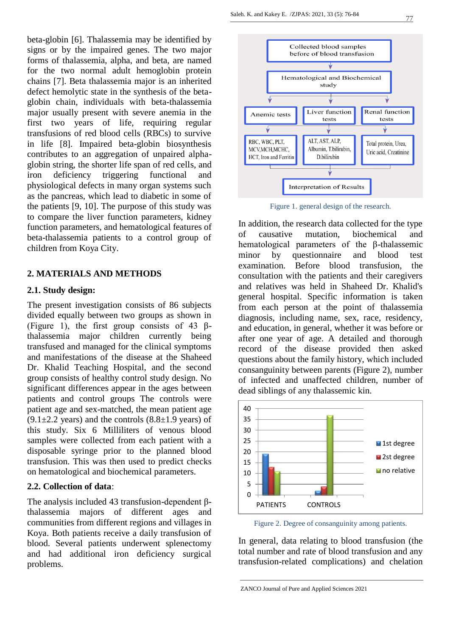beta-globin [6]. Thalassemia may be identified by signs or by the impaired genes. The two major forms of thalassemia, alpha, and beta, are named for the two normal adult hemoglobin protein chains [7]. Beta thalassemia major is an inherited defect hemolytic state in the synthesis of the betaglobin chain, individuals with beta-thalassemia major usually present with severe anemia in the first two years of life, requiring regular transfusions of red blood cells (RBCs) to survive in life [8]. Impaired beta-globin biosynthesis contributes to an aggregation of unpaired alphaglobin string, the shorter life span of red cells, and iron deficiency triggering functional and physiological defects in many organ systems such as the pancreas, which lead to diabetic in some of the patients [9, 10]. The purpose of this study was to compare the liver function parameters, kidney function parameters, and hematological features of beta-thalassemia patients to a control group of children from Koya City.

#### **2. MATERIALS AND METHODS**

#### **2.1. Study design:**

The present investigation consists of 86 subjects divided equally between two groups as shown in (Figure 1), the first group consists of 43  $\beta$ thalassemia major children currently being transfused and managed for the clinical symptoms and manifestations of the disease at the Shaheed Dr. Khalid Teaching Hospital, and the second group consists of healthy control study design. No significant differences appear in the ages between patients and control groups The controls were patient age and sex-matched, the mean patient age  $(9.1\pm2.2$  years) and the controls  $(8.8\pm1.9$  years) of this study. Six 6 Milliliters of venous blood samples were collected from each patient with a disposable syringe prior to the planned blood transfusion. This was then used to predict checks on hematological and biochemical parameters*.*

#### **2.2. Collection of data**:

The analysis included 43 transfusion-dependent βthalassemia majors of different ages and communities from different regions and villages in Koya. Both patients receive a daily transfusion of blood. Several patients underwent splenectomy and had additional iron deficiency surgical problems.



Figure 1. general design of the research.

In addition, the research data collected for the type of causative mutation, biochemical and hematological parameters of the β-thalassemic minor by questionnaire and blood test examination. Before blood transfusion, the consultation with the patients and their caregivers and relatives was held in Shaheed Dr. Khalid's general hospital. Specific information is taken from each person at the point of thalassemia diagnosis, including name, sex, race, residency, and education, in general, whether it was before or after one year of age. A detailed and thorough record of the disease provided then asked questions about the family history, which included consanguinity between parents (Figure 2), number of infected and unaffected children, number of dead siblings of any thalassemic kin.



Figure 2. Degree of consanguinity among patients.

In general, data relating to blood transfusion (the total number and rate of blood transfusion and any transfusion-related complications) and chelation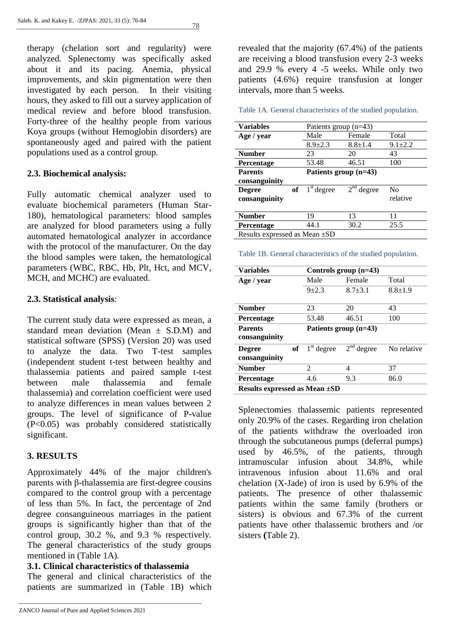78

therapy (chelation sort and regularity) were analyzed. Splenectomy was specifically asked about it and its pacing. Anemia, physical improvements, and skin pigmentation were then investigated by each person. In their visiting hours, they asked to fill out a survey application of medical review and before blood transfusion. Forty-three of the healthy people from various Koya groups (without Hemoglobin disorders) are spontaneously aged and paired with the patient populations used as a control group.

## **2.3. Biochemical analysis:**

Fully automatic chemical analyzer used to evaluate biochemical parameters (Human Star-180), hematological parameters: blood samples are analyzed for blood parameters using a fully automated hematological analyzer in accordance with the protocol of the manufacturer. On the day the blood samples were taken, the hematological parameters (WBC, RBC, Hb, Plt, Hct, and MCV, MCH, and MCHC) are evaluated.

## **2.3. Statistical analysis**:

The current study data were expressed as mean, a standard mean deviation (Mean  $\pm$  S.D.M) and statistical software (SPSS) (Version 20) was used to analyze the data. Two T-test samples (independent student t-test between healthy and thalassemia patients and paired sample t-test between male thalassemia and female thalassemia) and correlation coefficient were used to analyze differences in mean values between 2 groups. The level of significance of P-value (P<0.05) was probably considered statistically significant.

## **3. RESULTS**

Approximately 44% of the major children's parents with β-thalassemia are first-degree cousins compared to the control group with a percentage of less than 5%. In fact, the percentage of 2nd degree consanguineous marriages in the patient groups is significantly higher than that of the control group, 30.2 %, and 9.3 % respectively. The general characteristics of the study groups mentioned in (Table 1A).

## **3.1. Clinical characteristics of thalassemia**

The general and clinical characteristics of the patients are summarized in (Table 1B) which revealed that the majority (67.4%) of the patients are receiving a blood transfusion every 2-3 weeks and 29.9 % every 4 -5 weeks. While only two patients (4.6%) require transfusion at longer intervals, more than 5 weeks.

Table 1A. General characteristics of the studied population.

| <b>Variables</b>              |              | Patients group $(n=43)$ |               |  |
|-------------------------------|--------------|-------------------------|---------------|--|
| Age / year                    | Male         | Female                  | Total         |  |
|                               | $8.9 + 2.3$  | $8.8 \pm 1.4$           | $9.1 \pm 2.2$ |  |
| <b>Number</b>                 | 23           | 20                      | 43            |  |
| Percentage                    | 53.48        | 46.51                   | 100           |  |
| <b>Parents</b>                |              | Patients group (n=43)   |               |  |
| consanguinity                 |              |                         |               |  |
| of<br><b>Degree</b>           | $1st$ degree | $2nd$ degree            | No            |  |
| consanguinity                 |              |                         | relative      |  |
|                               |              |                         |               |  |
| <b>Number</b>                 | 19           | 13                      | 11            |  |
| Percentage                    | 44.1         | 30.2                    | 25.5          |  |
| Results expressed as Mean ±SD |              |                         |               |  |

#### Table 1B. General characteristics of the studied population.

| <b>Variables</b>                     | Controls group $(n=43)$ |              |               |
|--------------------------------------|-------------------------|--------------|---------------|
| Age / year                           | Male                    | Female       | Total         |
|                                      | $9 + 2.3$               | $8.7 + 3.1$  | $8.8 \pm 1.9$ |
| <b>Number</b>                        | 23                      | 20           | 43            |
| Percentage                           | 53.48                   | 46.51        | 100           |
| <b>Parents</b><br>consanguinity      | Patients group (n=43)   |              |               |
| of<br><b>Degree</b><br>consanguinity | $1st$ degree            | $2nd$ degree | No relative   |
| <b>Number</b>                        | $\mathfrak{D}$          | 4            | 37            |
| Percentage                           | 4.6                     | 9.3          | 86.0          |
| Results expressed as Mean $\pm SD$   |                         |              |               |

Splenectomies thalassemic patients represented only 20.9% of the cases. Regarding iron chelation of the patients withdraw the overloaded iron through the subcutaneous pumps (deferral pumps) used by 46.5%, of the patients, through intramuscular infusion about 34.8%, while intravenous infusion about 11.6% and oral chelation (X-Jade) of iron is used by 6.9% of the patients. The presence of other thalassemic patients within the same family (brothers or sisters) is obvious and 67.3% of the current patients have other thalassemic brothers and /or sisters **(**Table 2).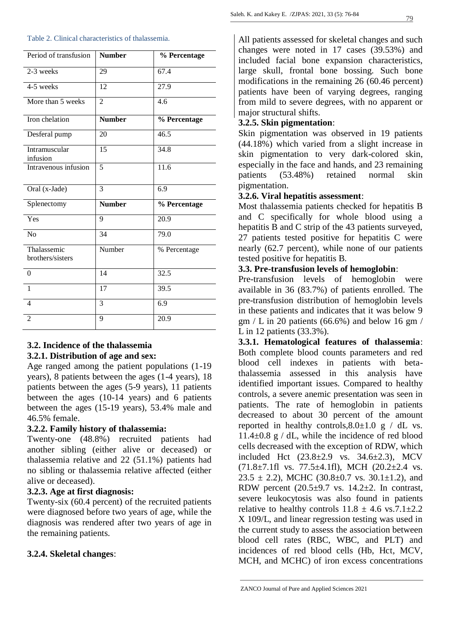| Table 2. Clinical characteristics of thalassemia. |
|---------------------------------------------------|
|---------------------------------------------------|

| Period of transfusion           | <b>Number</b>  | % Percentage |
|---------------------------------|----------------|--------------|
| 2-3 weeks                       | 29             | 67.4         |
| 4-5 weeks                       | 12             | 27.9         |
| More than 5 weeks               | $\overline{2}$ | 4.6          |
| Iron chelation                  | <b>Number</b>  | % Percentage |
| Desferal pump                   | 20             | 46.5         |
| Intramuscular<br>infusion       | 15             | 34.8         |
| Intravenous infusion            | $\overline{5}$ | 11.6         |
| Oral (x-Jade)                   | 3              | 6.9          |
| Splenectomy                     | <b>Number</b>  | % Percentage |
|                                 |                |              |
| Yes                             | 9              | 20.9         |
| No                              | 34             | 79.0         |
| Thalassemic<br>brothers/sisters | Number         | % Percentage |
| $\theta$                        | 14             | 32.5         |
| 1                               | 17             | 39.5         |
| $\overline{4}$                  | 3              | 6.9          |

## **3.2. Incidence of the thalassemia**

#### **3.2.1. Distribution of age and sex:**

Age ranged among the patient populations (1-19 years), 8 patients between the ages (1-4 years), 18 patients between the ages (5-9 years), 11 patients between the ages (10-14 years) and 6 patients between the ages (15-19 years), 53.4% male and 46.5% female.

#### **3.2.2. Family history of thalassemia:**

Twenty-one (48.8%) recruited patients had another sibling (either alive or deceased) or thalassemia relative and 22 (51.1%) patients had no sibling or thalassemia relative affected (either alive or deceased).

## **3.2.3. Age at first diagnosis:**

Twenty-six (60.4 percent) of the recruited patients were diagnosed before two years of age, while the diagnosis was rendered after two years of age in the remaining patients.

### **3.2.4. Skeletal changes**:

All patients assessed for skeletal changes and such changes were noted in 17 cases (39.53%) and included facial bone expansion characteristics, large skull, frontal bone bossing. Such bone modifications in the remaining 26 (60.46 percent) patients have been of varying degrees, ranging from mild to severe degrees, with no apparent or major structural shifts.

## **3.2.5. Skin pigmentation**:

Skin pigmentation was observed in 19 patients (44.18%) which varied from a slight increase in skin pigmentation to very dark-colored skin, especially in the face and hands, and 23 remaining patients (53.48%) retained normal skin pigmentation.

#### **3.2.6. Viral hepatitis assessment**:

Most thalassemia patients checked for hepatitis B and C specifically for whole blood using a hepatitis B and C strip of the 43 patients surveyed, 27 patients tested positive for hepatitis C were nearly (62.7 percent), while none of our patients tested positive for hepatitis B.

## **3.3. Pre-transfusion levels of hemoglobin**:

Pre-transfusion levels of hemoglobin were available in 36 (83.7%) of patients enrolled. The pre-transfusion distribution of hemoglobin levels in these patients and indicates that it was below 9  $gm / L$  in 20 patients (66.6%) and below 16 gm / L in 12 patients (33.3%).

**3.3.1. Hematological features of thalassemia**: Both complete blood counts parameters and red blood cell indexes in patients with betathalassemia assessed in this analysis have identified important issues. Compared to healthy controls, a severe anemic presentation was seen in patients. The rate of hemoglobin in patients decreased to about 30 percent of the amount reported in healthy controls,  $8.0 \pm 1.0$  g / dL vs.  $11.4\pm0.8$  g / dL, while the incidence of red blood cells decreased with the exception of RDW, which included Hct (23.8±2.9 vs. 34.6±2.3), MCV  $(71.8\pm7.1$ fl vs.  $77.5\pm4.1$ fl), MCH  $(20.2\pm2.4$  vs.  $23.5 \pm 2.2$ ), MCHC (30.8 $\pm$ 0.7 vs. 30.1 $\pm$ 1.2), and RDW percent  $(20.5\pm9.7 \text{ vs. } 14.2\pm2)$ . In contrast, severe leukocytosis was also found in patients relative to healthy controls  $11.8 \pm 4.6$  vs.7.1 $\pm$ 2.2 X 109/L, and linear regression testing was used in the current study to assess the association between blood cell rates (RBC, WBC, and PLT) and incidences of red blood cells (Hb, Hct, MCV, MCH, and MCHC) of iron excess concentrations

ZANCO Journal of Pure and Applied Sciences 2021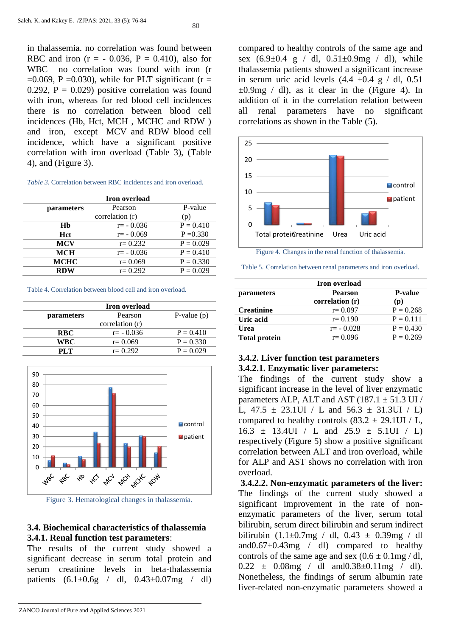80

in thalassemia. no correlation was found between RBC and iron  $(r = -0.036, P = 0.410)$ , also for WBC no correlation was found with iron (r  $=0.069$ , P  $=0.030$ ), while for PLT significant (r  $=$ 0.292,  $P = 0.029$ ) positive correlation was found with iron, whereas for red blood cell incidences there is no correlation between blood cell incidences (Hb, Hct, MCH , MCHC and RDW ) and iron, except MCV and RDW blood cell incidence, which have a significant positive correlation with iron overload (Table 3), (Table 4), and (Figure 3).

| <b>Iron</b> overload |                 |             |  |
|----------------------|-----------------|-------------|--|
| parameters           | Pearson         | P-value     |  |
|                      | correlation (r) | (p)         |  |
| Hb                   | $r = -0.036$    | $P = 0.410$ |  |
| <b>H</b> ct          | $r = -0.069$    | $P = 0.330$ |  |
| <b>MCV</b>           | $r = 0.232$     | $P = 0.029$ |  |
| <b>MCH</b>           | $r = -0.036$    | $P = 0.410$ |  |
| <b>MCHC</b>          | $r = 0.069$     | $P = 0.330$ |  |
| <b>RDW</b>           | $r = 0.292$     | $P = 0.029$ |  |

Table 4. Correlation between blood cell and iron overload.

|                   | Iron overload   |               |
|-------------------|-----------------|---------------|
| <i>parameters</i> | Pearson         | P-value $(p)$ |
|                   | correlation (r) |               |
| <b>RBC</b>        | $r = -0.036$    | $P = 0.410$   |
| <b>WBC</b>        | $r = 0.069$     | $P = 0.330$   |
| PLT               | $r = 0.292$     | $P = 0.029$   |



Figure 3. Hematological changes in thalassemia.

## **3.4. Biochemical characteristics of thalassemia 3.4.1. Renal function test parameters**:

The results of the current study showed a significant decrease in serum total protein and serum creatinine levels in beta-thalassemia patients  $(6.1 \pm 0.6g$  / dl,  $0.43 \pm 0.07mg$  / dl)

compared to healthy controls of the same age and sex  $(6.9\pm0.4 \text{ g} / \text{ d}l, 0.51\pm0.9 \text{ mg} / \text{ d}l)$ , while thalassemia patients showed a significant increase in serum uric acid levels  $(4.4 \pm 0.4 \text{ g} / \text{d}l, 0.51)$  $\pm 0.9$ mg / dl), as it clear in the (Figure 4). In addition of it in the correlation relation between all renal parameters have no significant correlations as shown in the Table (5).



Figure 4. Changes in the renal function of thalassemia.

Table 5. Correlation between renal parameters and iron overload.

| <b>Iron</b> overload |                 |                |  |
|----------------------|-----------------|----------------|--|
| parameters           | <b>Pearson</b>  | <b>P-value</b> |  |
|                      | correlation (r) | (p)            |  |
| <b>Creatinine</b>    | $r = 0.097$     | $P = 0.268$    |  |
| Uric acid            | $r = 0.190$     | $P = 0.111$    |  |
| Urea                 | $r = -0.028$    | $P = 0.430$    |  |
| <b>Total protein</b> | $r = 0.096$     | $P = 0.269$    |  |
|                      |                 |                |  |

## **3.4.2. Liver function test parameters 3.4.2.1. Enzymatic liver parameters:**

The findings of the current study show a significant increase in the level of liver enzymatic parameters ALP, ALT and AST  $(187.1 \pm 51.3 \text{ UI})$ L,  $47.5 \pm 23.1$ UI / L and  $56.3 \pm 31.3$ UI / L) compared to healthy controls  $(83.2 \pm 29.1$ UI / L,  $16.3 \pm 13.4$ UI / L and  $25.9 \pm 5.1$ UI / L) respectively (Figure 5) show a positive significant correlation between ALT and iron overload, while for ALP and AST shows no correlation with iron overload.

**3.4.2.2. Non-enzymatic parameters of the liver:**  The findings of the current study showed a significant improvement in the rate of nonenzymatic parameters of the liver, serum total bilirubin, serum direct bilirubin and serum indirect bilirubin  $(1.1\pm0.7mg / dl, 0.43 \pm 0.39mg / dl)$ and $0.67\pm0.43$ mg / dl) compared to healthy controls of the same age and sex  $(0.6 \pm 0.1 \text{mg}/\text{dl})$ ,  $0.22 \pm 0.08$  mg / dl and  $0.38 \pm 0.11$  mg / dl). Nonetheless, the findings of serum albumin rate liver-related non-enzymatic parameters showed a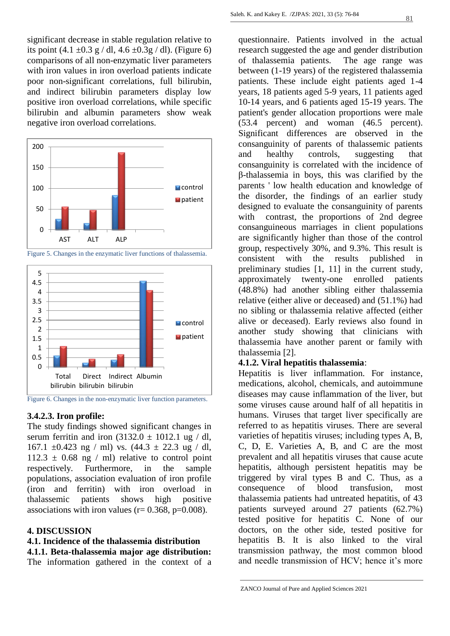significant decrease in stable regulation relative to its point  $(4.1 \pm 0.3 \text{ g} / \text{dl}, 4.6 \pm 0.3 \text{ g} / \text{dl})$ . (Figure 6) comparisons of all non-enzymatic liver parameters with iron values in iron overload patients indicate poor non-significant correlations, full bilirubin, and indirect bilirubin parameters display low positive iron overload correlations, while specific bilirubin and albumin parameters show weak negative iron overload correlations.







Figure 6. Changes in the non-enzymatic liver function parameters.

#### **3.4.2.3. Iron profile:**

The study findings showed significant changes in serum ferritin and iron  $(3132.0 \pm 1012.1 \text{ ug } / \text{ dl})$ , 167.1  $\pm$ 0.423 ng / ml) vs. (44.3  $\pm$  22.3 ug / dl,  $112.3 \pm 0.68$  ng / ml) relative to control point respectively. Furthermore, in the sample populations, association evaluation of iron profile (iron and ferritin) with iron overload in thalassemic patients shows high positive associations with iron values ( $r= 0.368$ ,  $p=0.008$ ).

#### **4. DISCUSSION**

## **4.1. Incidence of the thalassemia distribution**

**4.1.1. Beta-thalassemia major age distribution:**

The information gathered in the context of a

questionnaire. Patients involved in the actual research suggested the age and gender distribution of thalassemia patients. The age range was between (1-19 years) of the registered thalassemia patients. These include eight patients aged 1-4 years, 18 patients aged 5-9 years, 11 patients aged 10-14 years, and 6 patients aged 15-19 years. The patient's gender allocation proportions were male (53.4 percent) and woman (46.5 percent). Significant differences are observed in the consanguinity of parents of thalassemic patients and healthy controls, suggesting that consanguinity is correlated with the incidence of β-thalassemia in boys, this was clarified by the parents ' low health education and knowledge of the disorder, the findings of an earlier study designed to evaluate the consanguinity of parents with contrast, the proportions of 2nd degree consanguineous marriages in client populations are significantly higher than those of the control group, respectively 30%, and 9.3%. This result is consistent with the results published in preliminary studies [1, 11] in the current study, approximately twenty-one enrolled patients (48.8%) had another sibling either thalassemia relative (either alive or deceased) and (51.1%) had no sibling or thalassemia relative affected (either alive or deceased). Early reviews also found in another study showing that clinicians with thalassemia have another parent or family with thalassemia [2].

#### **4.1.2. Viral hepatitis thalassemia**:

Hepatitis is liver inflammation. For instance, medications, alcohol, chemicals, and autoimmune diseases may cause inflammation of the liver, but some viruses cause around half of all hepatitis in humans. Viruses that target liver specifically are referred to as hepatitis viruses. There are several varieties of hepatitis viruses; including types A, B, C, D, E. Varieties A, B, and C are the most prevalent and all hepatitis viruses that cause acute hepatitis, although persistent hepatitis may be triggered by viral types B and C. Thus, as a consequence of blood transfusion, most thalassemia patients had untreated hepatitis, of 43 patients surveyed around 27 patients (62.7%) tested positive for hepatitis C. None of our doctors, on the other side, tested positive for hepatitis B. It is also linked to the viral transmission pathway, the most common blood and needle transmission of HCV; hence it's more

ZANCO Journal of Pure and Applied Sciences 2021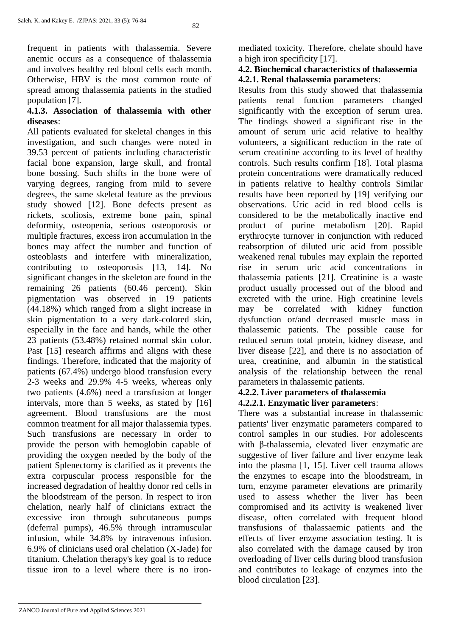frequent in patients with thalassemia. Severe anemic occurs as a consequence of thalassemia and involves healthy red blood cells each month. Otherwise, HBV is the most common route of spread among thalassemia patients in the studied population [7].

## **4.1.3. Association of thalassemia with other diseases**:

All patients evaluated for skeletal changes in this investigation, and such changes were noted in 39.53 percent of patients including characteristic facial bone expansion, large skull, and frontal bone bossing. Such shifts in the bone were of varying degrees, ranging from mild to severe degrees, the same skeletal feature as the previous study showed [12]. Bone defects present as rickets, scoliosis, extreme bone pain, spinal deformity, osteopenia, serious osteoporosis or multiple fractures, excess iron accumulation in the bones may affect the number and function of osteoblasts and interfere with mineralization, contributing to osteoporosis [13, 14]. No significant changes in the skeleton are found in the remaining 26 patients (60.46 percent). Skin pigmentation was observed in 19 patients (44.18%) which ranged from a slight increase in skin pigmentation to a very dark-colored skin, especially in the face and hands, while the other 23 patients (53.48%) retained normal skin color. Past [15] research affirms and aligns with these findings. Therefore, indicated that the majority of patients (67.4%) undergo blood transfusion every 2-3 weeks and 29.9% 4-5 weeks, whereas only two patients (4.6%) need a transfusion at longer intervals, more than 5 weeks, as stated by [16] agreement. Blood transfusions are the most common treatment for all major thalassemia types. Such transfusions are necessary in order to provide the person with hemoglobin capable of providing the oxygen needed by the body of the patient Splenectomy is clarified as it prevents the extra corpuscular process responsible for the increased degradation of healthy donor red cells in the bloodstream of the person. In respect to iron chelation, nearly half of clinicians extract the excessive iron through subcutaneous pumps (deferral pumps), 46.5% through intramuscular infusion, while 34.8% by intravenous infusion. 6.9% of clinicians used oral chelation (X-Jade) for titanium. Chelation therapy's key goal is to reduce tissue iron to a level where there is no ironmediated toxicity. Therefore, chelate should have a high iron specificity [17].

## **4.2. Biochemical characteristics of thalassemia 4.2.1. Renal thalassemia parameters**:

Results from this study showed that thalassemia patients renal function parameters changed significantly with the exception of serum urea. The findings showed a significant rise in the amount of serum uric acid relative to healthy volunteers, a significant reduction in the rate of serum creatinine according to its level of healthy controls. Such results confirm [18]. Total plasma protein concentrations were dramatically reduced in patients relative to healthy controls Similar results have been reported by [19] verifying our observations. Uric acid in red blood cells is considered to be the metabolically inactive end product of purine metabolism [20]. Rapid erythrocyte turnover in conjunction with reduced reabsorption of diluted uric acid from possible weakened renal tubules may explain the reported rise in serum uric acid concentrations in thalassemia patients [21]. Creatinine is a waste product usually processed out of the blood and excreted with the urine. High creatinine levels may be correlated with kidney function dysfunction or/and decreased muscle mass in thalassemic patients. The possible cause for reduced serum total protein, kidney disease, and liver disease [22], and there is no association of urea, creatinine, and albumin in the statistical analysis of the relationship between the renal parameters in thalassemic patients.

#### **4.2.2. Liver parameters of thalassemia 4.2.2.1. Enzymatic liver parameters**:

There was a substantial increase in thalassemic patients' liver enzymatic parameters compared to control samples in our studies. For adolescents with β-thalassemia, elevated liver enzymatic are suggestive of liver failure and liver enzyme leak into the plasma [1, 15]. Liver cell trauma allows the enzymes to escape into the bloodstream, in turn, enzyme parameter elevations are primarily used to assess whether the liver has been compromised and its activity is weakened liver disease, often correlated with frequent blood transfusions of thalassaemic patients and the effects of liver enzyme association testing. It is also correlated with the damage caused by iron overloading of liver cells during blood transfusion and contributes to leakage of enzymes into the blood circulation [23].

ZANCO Journal of Pure and Applied Sciences 2021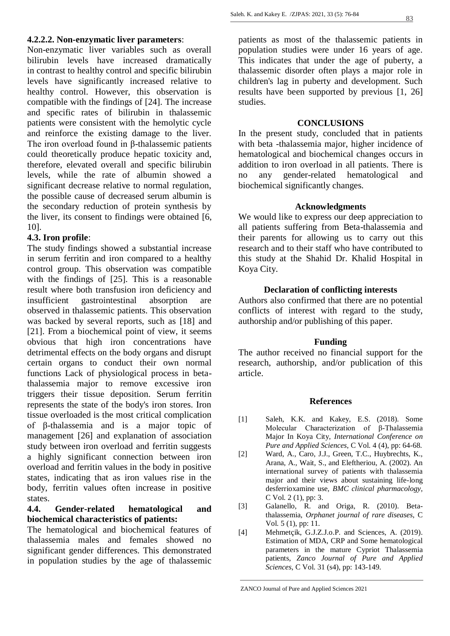Non-enzymatic liver variables such as overall bilirubin levels have increased dramatically in contrast to healthy control and specific bilirubin levels have significantly increased relative to healthy control. However, this observation is compatible with the findings of [24]. The increase and specific rates of bilirubin in thalassemic patients were consistent with the hemolytic cycle and reinforce the existing damage to the liver. The iron overload found in β-thalassemic patients could theoretically produce hepatic toxicity and, therefore, elevated overall and specific bilirubin levels, while the rate of albumin showed a significant decrease relative to normal regulation, the possible cause of decreased serum albumin is the secondary reduction of protein synthesis by the liver, its consent to findings were obtained [6, 10].

## **4.3. Iron profile**:

The study findings showed a substantial increase in serum ferritin and iron compared to a healthy control group. This observation was compatible with the findings of [25]. This is a reasonable result where both transfusion iron deficiency and insufficient gastrointestinal absorption are observed in thalassemic patients. This observation was backed by several reports, such as [18] and [21]. From a biochemical point of view, it seems obvious that high iron concentrations have detrimental effects on the body organs and disrupt certain organs to conduct their own normal functions Lack of physiological process in betathalassemia major to remove excessive iron triggers their tissue deposition. Serum ferritin represents the state of the body's iron stores. Iron tissue overloaded is the most critical complication of β-thalassemia and is a major topic of management [26] and explanation of association study between iron overload and ferritin suggests a highly significant connection between iron overload and ferritin values in the body in positive states, indicating that as iron values rise in the body, ferritin values often increase in positive states.

## **4.4. Gender-related hematological and biochemical characteristics of patients:**

The hematological and biochemical features of thalassemia males and females showed no significant gender differences. This demonstrated in population studies by the age of thalassemic

patients as most of the thalassemic patients in population studies were under 16 years of age. This indicates that under the age of puberty, a thalassemic disorder often plays a major role in children's lag in puberty and development. Such results have been supported by previous [1, 26] studies.

#### **CONCLUSIONS**

In the present study, concluded that in patients with beta -thalassemia major, higher incidence of hematological and biochemical changes occurs in addition to iron overload in all patients. There is no any gender-related hematological and biochemical significantly changes.

#### **Acknowledgments**

We would like to express our deep appreciation to all patients suffering from Beta-thalassemia and their parents for allowing us to carry out this research and to their staff who have contributed to this study at the Shahid Dr. Khalid Hospital in Koya City.

#### **Declaration of conflicting interests**

Authors also confirmed that there are no potential conflicts of interest with regard to the study, authorship and/or publishing of this paper.

#### **Funding**

The author received no financial support for the research, authorship, and/or publication of this article.

#### **References**

- [1] Saleh, K.K. and Kakey, E.S. (2018). Some Molecular Characterization of β-Thalassemia Major In Koya City, *International Conference on Pure and Applied Sciences*, C Vol. 4 (4), pp: 64-68.
- [2] Ward, A., Caro, J.J., Green, T.C., Huybrechts, K., Arana, A., Wait, S., and Eleftheriou, A. (2002). An international survey of patients with thalassemia major and their views about sustaining life-long desferrioxamine use, *BMC clinical pharmacology*, C Vol. 2 (1), pp: 3.
- [3] Galanello, R. and Origa, R. (2010). Betathalassemia, *Orphanet journal of rare diseases*, C Vol. 5 (1), pp: 11.
- [4] Mehmetcik, G.J.Z.J.o.P. and Sciences, A. (2019). Estimation of MDA, CRP and Some hematological parameters in the mature Cypriot Thalassemia patients, *Zanco Journal of Pure and Applied Sciences*, C Vol. 31 (s4), pp: 143-149.

ZANCO Journal of Pure and Applied Sciences 2021